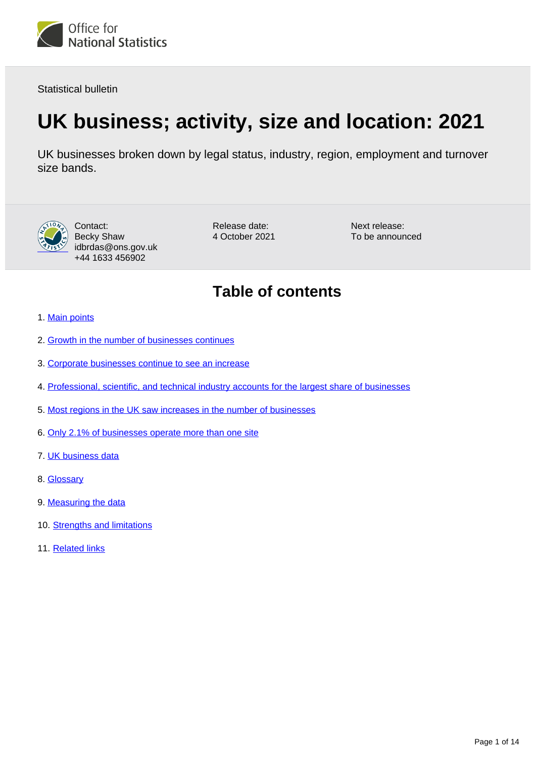

Statistical bulletin

# **UK business; activity, size and location: 2021**

UK businesses broken down by legal status, industry, region, employment and turnover size bands.



Contact: Becky Shaw idbrdas@ons.gov.uk +44 1633 456902

Release date: 4 October 2021 Next release: To be announced

## **Table of contents**

- 1. [Main points](#page-1-0)
- 2. [Growth in the number of businesses continues](#page-2-0)
- 3. [Corporate businesses continue to see an increase](#page-4-0)
- 4. [Professional, scientific, and technical industry accounts for the largest share of businesses](#page-5-0)
- 5. [Most regions in the UK saw increases in the number of businesses](#page-9-0)
- 6. [Only 2.1% of businesses operate more than one site](#page-11-0)
- 7. [UK business data](#page-11-1)
- 8. [Glossary](#page-11-2)
- 9. [Measuring the data](#page-12-0)
- 10. [Strengths and limitations](#page-13-0)
- 11. [Related links](#page-13-1)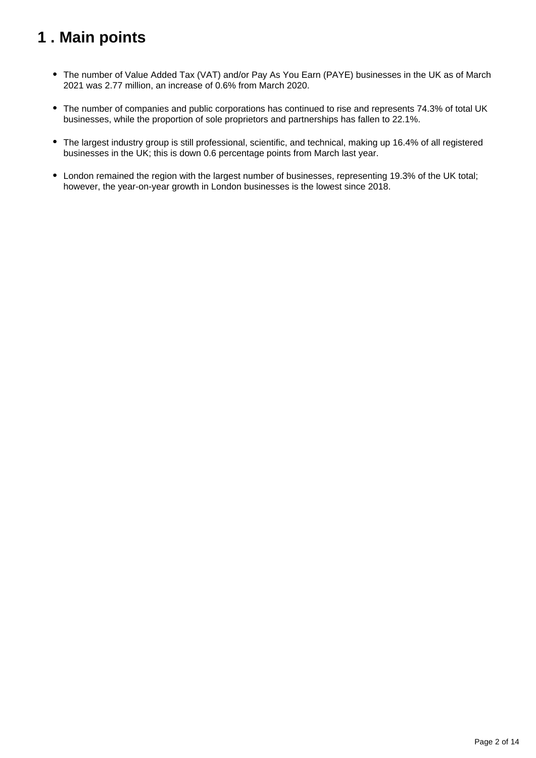## <span id="page-1-0"></span>**1 . Main points**

- The number of Value Added Tax (VAT) and/or Pay As You Earn (PAYE) businesses in the UK as of March 2021 was 2.77 million, an increase of 0.6% from March 2020.
- The number of companies and public corporations has continued to rise and represents 74.3% of total UK businesses, while the proportion of sole proprietors and partnerships has fallen to 22.1%.
- The largest industry group is still professional, scientific, and technical, making up 16.4% of all registered businesses in the UK; this is down 0.6 percentage points from March last year.
- London remained the region with the largest number of businesses, representing 19.3% of the UK total; however, the year-on-year growth in London businesses is the lowest since 2018.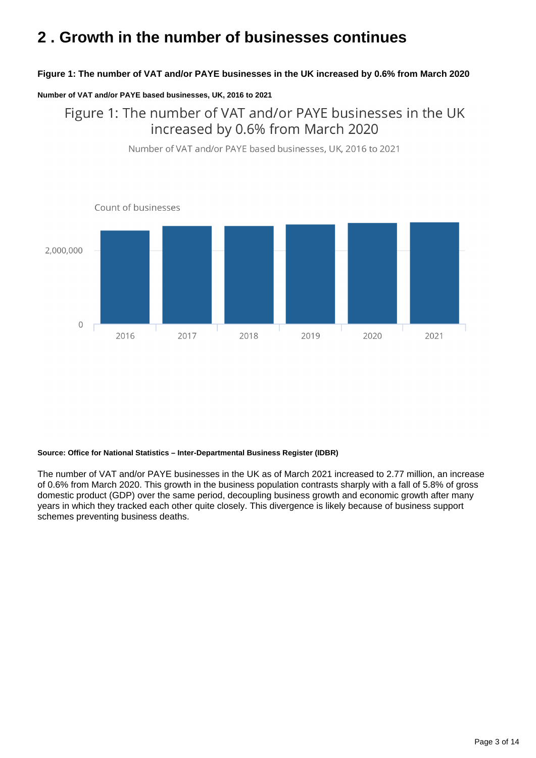## <span id="page-2-0"></span>**2 . Growth in the number of businesses continues**

#### **Figure 1: The number of VAT and/or PAYE businesses in the UK increased by 0.6% from March 2020**

#### **Number of VAT and/or PAYE based businesses, UK, 2016 to 2021**

Figure 1: The number of VAT and/or PAYE businesses in the UK increased by 0.6% from March 2020



Number of VAT and/or PAYE based businesses, UK, 2016 to 2021

#### **Source: Office for National Statistics – Inter-Departmental Business Register (IDBR)**

The number of VAT and/or PAYE businesses in the UK as of March 2021 increased to 2.77 million, an increase of 0.6% from March 2020. This growth in the business population contrasts sharply with a fall of 5.8% of gross domestic product (GDP) over the same period, decoupling business growth and economic growth after many years in which they tracked each other quite closely. This divergence is likely because of business support schemes preventing business deaths.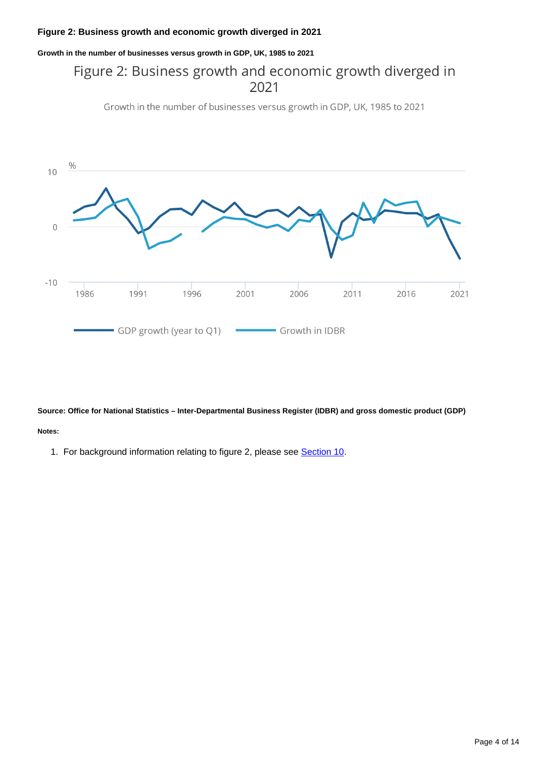### **Figure 2: Business growth and economic growth diverged in 2021**

**Growth in the number of businesses versus growth in GDP, UK, 1985 to 2021**

### Figure 2: Business growth and economic growth diverged in 2021

Growth in the number of businesses versus growth in GDP, UK, 1985 to 2021



**Source: Office for National Statistics – Inter-Departmental Business Register (IDBR) and gross domestic product (GDP)**

#### **Notes:**

1. For background information relating to figure 2, please see **[Section 10](https://publishing.ons.gov.uk/businessindustryandtrade/business/activitysizeandlocation/bulletins/ukbusinessactivitysizeandlocation/2021#strengths-and-limitations)**.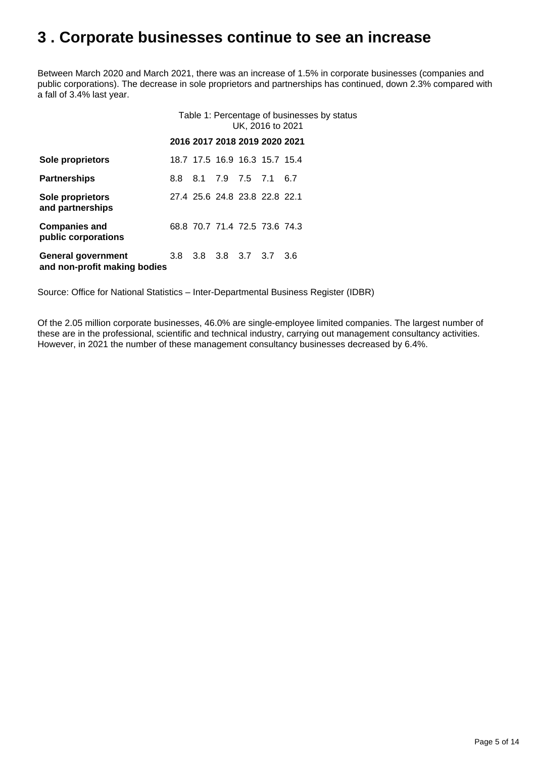### <span id="page-4-0"></span>**3 . Corporate businesses continue to see an increase**

Between March 2020 and March 2021, there was an increase of 1.5% in corporate businesses (companies and public corporations). The decrease in sole proprietors and partnerships has continued, down 2.3% compared with a fall of 3.4% last year.

|                                                    | Table 1: Percentage of businesses by status<br>UK, 2016 to 2021 |                               |  |  |  |  |  |
|----------------------------------------------------|-----------------------------------------------------------------|-------------------------------|--|--|--|--|--|
|                                                    |                                                                 | 2016 2017 2018 2019 2020 2021 |  |  |  |  |  |
| Sole proprietors                                   |                                                                 | 18.7 17.5 16.9 16.3 15.7 15.4 |  |  |  |  |  |
| <b>Partnerships</b>                                | 8.8                                                             | 8.1 7.9 7.5 7.1 6.7           |  |  |  |  |  |
| Sole proprietors<br>and partnerships               |                                                                 | 27.4 25.6 24.8 23.8 22.8 22.1 |  |  |  |  |  |
| <b>Companies and</b><br>public corporations        |                                                                 | 68.8 70.7 71.4 72.5 73.6 74.3 |  |  |  |  |  |
| General government<br>and non-profit making bodies | 3.8                                                             | 3.8 3.8 3.7 3.7 3.6           |  |  |  |  |  |

Source: Office for National Statistics – Inter-Departmental Business Register (IDBR)

Of the 2.05 million corporate businesses, 46.0% are single-employee limited companies. The largest number of these are in the professional, scientific and technical industry, carrying out management consultancy activities. However, in 2021 the number of these management consultancy businesses decreased by 6.4%.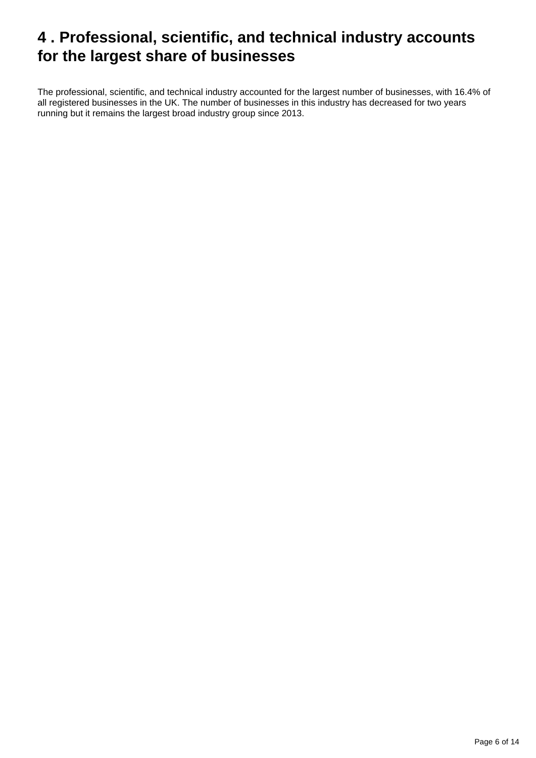## <span id="page-5-0"></span>**4 . Professional, scientific, and technical industry accounts for the largest share of businesses**

The professional, scientific, and technical industry accounted for the largest number of businesses, with 16.4% of all registered businesses in the UK. The number of businesses in this industry has decreased for two years running but it remains the largest broad industry group since 2013.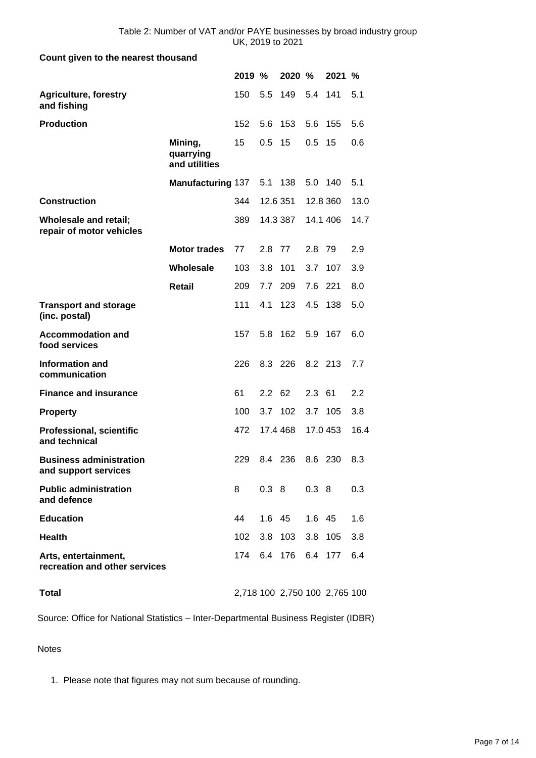#### **Count given to the nearest thousand**

|                                                        |                                       | 2019 % |               | 2020 %   |          | 2021                          | %    |
|--------------------------------------------------------|---------------------------------------|--------|---------------|----------|----------|-------------------------------|------|
| <b>Agriculture, forestry</b><br>and fishing            |                                       | 150    | 5.5           | 149      | 5.4      | 141                           | 5.1  |
| <b>Production</b>                                      |                                       | 152    | 5.6           | 153      | 5.6      | 155                           | 5.6  |
|                                                        | Mining,<br>quarrying<br>and utilities | 15     | 0.5           | 15       | 0.5      | 15                            | 0.6  |
|                                                        | <b>Manufacturing 137</b>              |        | 5.1           | 138      | 5.0 140  |                               | 5.1  |
| <b>Construction</b>                                    |                                       | 344    |               | 12.6 351 | 12.8 360 |                               | 13.0 |
| Wholesale and retail;<br>repair of motor vehicles      |                                       | 389    |               | 14.3 387 | 14.1 406 |                               | 14.7 |
|                                                        | <b>Motor trades</b>                   | 77     | 2.8           | 77       | 2.8      | 79                            | 2.9  |
|                                                        | Wholesale                             | 103    | 3.8           | 101      | 3.7      | 107                           | 3.9  |
|                                                        | <b>Retail</b>                         | 209    | 7.7           | 209      | 7.6      | 221                           | 8.0  |
| <b>Transport and storage</b><br>(inc. postal)          |                                       | 111    | 4.1           | 123      | 4.5      | 138                           | 5.0  |
| <b>Accommodation and</b><br>food services              |                                       | 157    | 5.8           | 162      | 5.9      | 167                           | 6.0  |
| <b>Information and</b><br>communication                |                                       | 226    | 8.3 226       |          | 8.2 213  |                               | 7.7  |
| <b>Finance and insurance</b>                           |                                       | 61     | $2.2\quad 62$ |          | 2.3      | 61                            | 2.2  |
| <b>Property</b>                                        |                                       | 100    | 3.7           | 102      | 3.7      | 105                           | 3.8  |
| <b>Professional, scientific</b><br>and technical       |                                       | 472    |               | 17.4 468 | 17.0 453 |                               | 16.4 |
| <b>Business administration</b><br>and support services |                                       | 229    | 8.4 236       |          | 8.6      | 230                           | 8.3  |
| <b>Public administration</b><br>and defence            |                                       | 8      |               | 0.38     | 0.38     |                               | 0.3  |
| <b>Education</b>                                       |                                       | 44     |               | 1.6 45   | 1.6 45   |                               | 1.6  |
| <b>Health</b>                                          |                                       | 102    |               | 3.8 103  | 3.8 105  |                               | 3.8  |
| Arts, entertainment,<br>recreation and other services  |                                       | 174    |               | 6.4 176  | 6.4 177  |                               | 6.4  |
| <b>Total</b>                                           |                                       |        |               |          |          | 2,718 100 2,750 100 2,765 100 |      |

Source: Office for National Statistics – Inter-Departmental Business Register (IDBR)

Notes

1. Please note that figures may not sum because of rounding.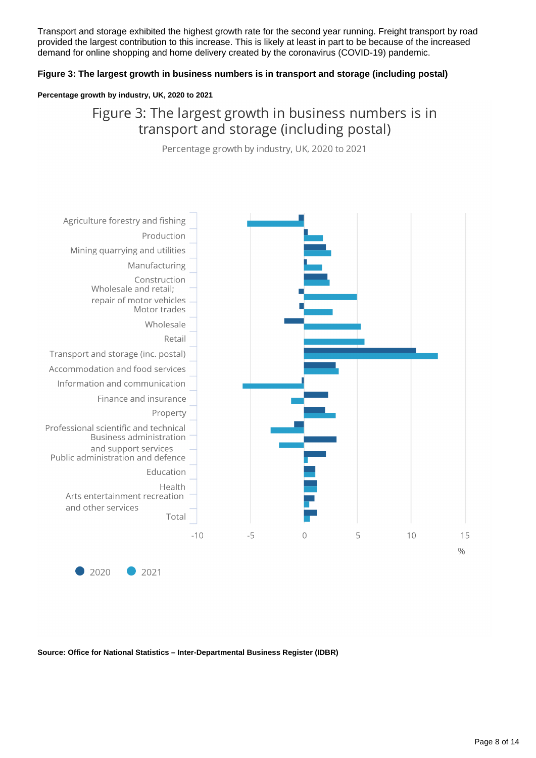Transport and storage exhibited the highest growth rate for the second year running. Freight transport by road provided the largest contribution to this increase. This is likely at least in part to be because of the increased demand for online shopping and home delivery created by the coronavirus (COVID-19) pandemic.

#### **Figure 3: The largest growth in business numbers is in transport and storage (including postal)**

#### **Percentage growth by industry, UK, 2020 to 2021**

### Figure 3: The largest growth in business numbers is in transport and storage (including postal)

Percentage growth by industry, UK, 2020 to 2021



**Source: Office for National Statistics – Inter-Departmental Business Register (IDBR)**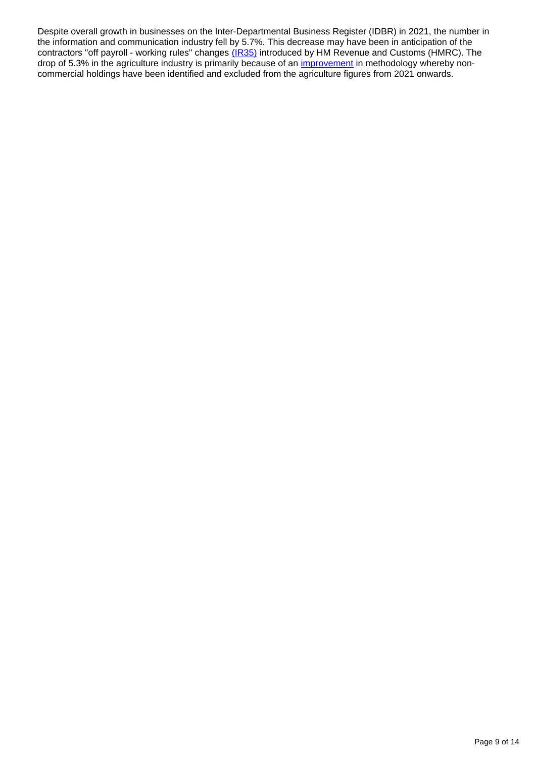Despite overall growth in businesses on the Inter-Departmental Business Register (IDBR) in 2021, the number in the information and communication industry fell by 5.7%. This decrease may have been in anticipation of the contractors "off payroll - working rules" changes [\(IR35\)](https://www.gov.uk/government/publications/off-payroll-working-rules-communication-resources/know-the-facts-for-contractors-off-payroll-working-rules-ir35) introduced by HM Revenue and Customs (HMRC). The drop of 5.3% in the agriculture industry is primarily because of an [improvement](https://www.ons.gov.uk/businessindustryandtrade/business/activitysizeandlocation/methodologies/ukbusinessactivitysizeandlocationqmi) in methodology whereby noncommercial holdings have been identified and excluded from the agriculture figures from 2021 onwards.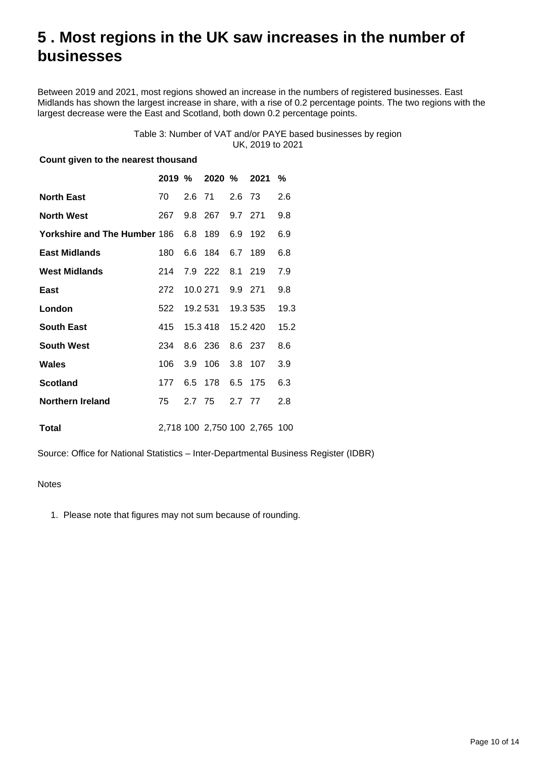## <span id="page-9-0"></span>**5 . Most regions in the UK saw increases in the number of businesses**

Between 2019 and 2021, most regions showed an increase in the numbers of registered businesses. East Midlands has shown the largest increase in share, with a rise of 0.2 percentage points. The two regions with the largest decrease were the East and Scotland, both down 0.2 percentage points.

#### Table 3: Number of VAT and/or PAYE based businesses by region UK, 2019 to 2021

#### **Count given to the nearest thousand**

|                                              |     | 2019 % 2020 % 2021 |         |                               | $\%$ |
|----------------------------------------------|-----|--------------------|---------|-------------------------------|------|
| <b>North East</b>                            | 70  | 2.6 71 2.6 73      |         |                               | 2.6  |
| <b>North West</b>                            | 267 | 9.8 267 9.7 271    |         |                               | 9.8  |
| Yorkshire and The Humber 186 6.8 189 6.9 192 |     |                    |         |                               | 6.9  |
| <b>East Midlands</b>                         | 180 | 6.6 184            | 6.7 189 |                               | 6.8  |
| <b>West Midlands</b>                         | 214 | 7.9 222 8.1 219    |         |                               | 7.9  |
| East                                         | 272 | 10.0 271 9.9 271   |         |                               | 9.8  |
| London                                       | 522 | 19.2 531 19.3 535  |         |                               | 19.3 |
| <b>South East</b>                            | 415 | 15.3 418  15.2 420 |         |                               | 15.2 |
| <b>South West</b>                            | 234 | 8.6 236 8.6 237    |         |                               | 8.6  |
| <b>Wales</b>                                 | 106 | 3.9 106            | 3.8 107 |                               | 3.9  |
| <b>Scotland</b>                              | 177 | 6.5 178            | 6.5 175 |                               | 6.3  |
| Northern Ireland                             | 75  | 2.7 75             | 2.7 77  |                               | 2.8  |
| <b>Total</b>                                 |     |                    |         | 2,718 100 2,750 100 2,765 100 |      |

Source: Office for National Statistics – Inter-Departmental Business Register (IDBR)

#### **Notes**

1. Please note that figures may not sum because of rounding.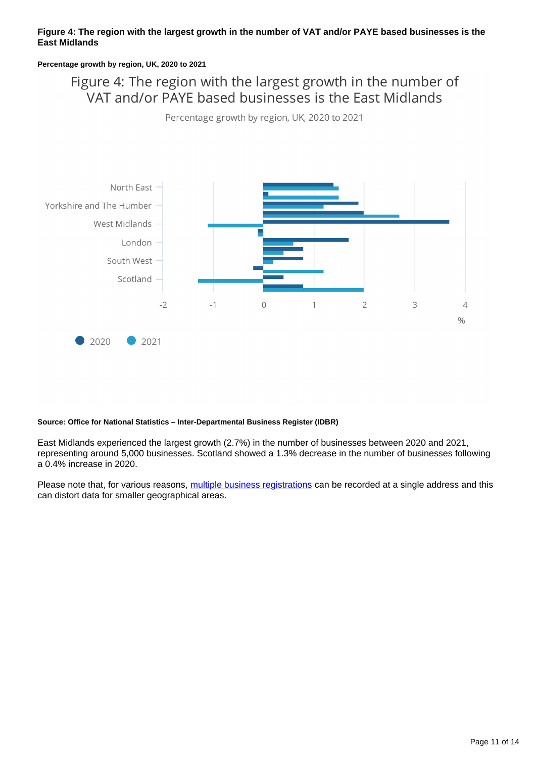#### **Figure 4: The region with the largest growth in the number of VAT and/or PAYE based businesses is the East Midlands**

#### **Percentage growth by region, UK, 2020 to 2021**

Figure 4: The region with the largest growth in the number of VAT and/or PAYE based businesses is the East Midlands

Percentage growth by region, UK, 2020 to 2021



#### **Source: Office for National Statistics – Inter-Departmental Business Register (IDBR)**

East Midlands experienced the largest growth (2.7%) in the number of businesses between 2020 and 2021, representing around 5,000 businesses. Scotland showed a 1.3% decrease in the number of businesses following a 0.4% increase in 2020.

Please note that, for various reasons, [multiple business registrations](https://www.ons.gov.uk/businessindustryandtrade/business/activitysizeandlocation/methodologies/multiplebusinessregistrationsatasinglepostcode2019) can be recorded at a single address and this can distort data for smaller geographical areas.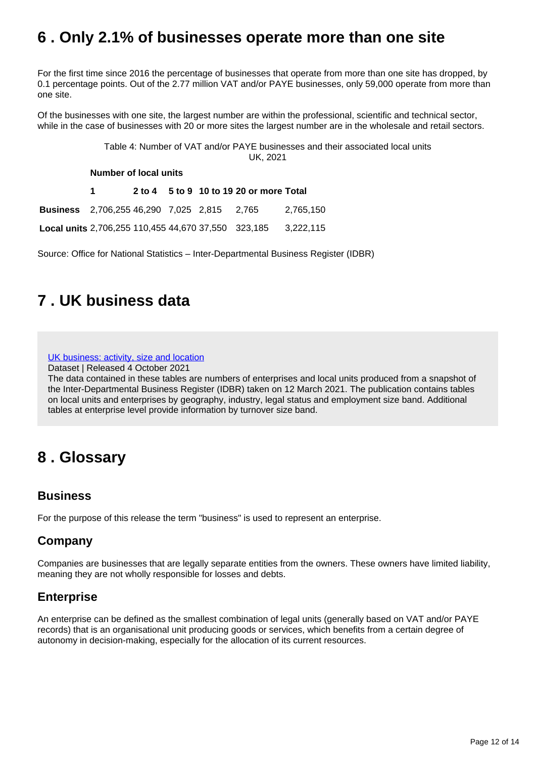## <span id="page-11-0"></span>**6 . Only 2.1% of businesses operate more than one site**

For the first time since 2016 the percentage of businesses that operate from more than one site has dropped, by 0.1 percentage points. Out of the 2.77 million VAT and/or PAYE businesses, only 59,000 operate from more than one site.

Of the businesses with one site, the largest number are within the professional, scientific and technical sector, while in the case of businesses with 20 or more sites the largest number are in the wholesale and retail sectors.

> Table 4: Number of VAT and/or PAYE businesses and their associated local units UK, 2021

**Number of local units**

**1 2 to 4 5 to 9 10 to 19 20 or more Total Business** 2,706,255 46,290 7,025 2,815 2,765 2,765,150

**Local units** 2,706,255 110,455 44,670 37,550 323,185 3,222,115

Source: Office for National Statistics – Inter-Departmental Business Register (IDBR)

## <span id="page-11-1"></span>**7 . UK business data**

[UK business: activity, size and location](https://www.ons.gov.uk/businessindustryandtrade/business/activitysizeandlocation/datasets/ukbusinessactivitysizeandlocation)

Dataset | Released 4 October 2021

The data contained in these tables are numbers of enterprises and local units produced from a snapshot of the Inter-Departmental Business Register (IDBR) taken on 12 March 2021. The publication contains tables on local units and enterprises by geography, industry, legal status and employment size band. Additional tables at enterprise level provide information by turnover size band.

### <span id="page-11-2"></span>**8 . Glossary**

### **Business**

For the purpose of this release the term "business" is used to represent an enterprise.

### **Company**

Companies are businesses that are legally separate entities from the owners. These owners have limited liability, meaning they are not wholly responsible for losses and debts.

### **Enterprise**

An enterprise can be defined as the smallest combination of legal units (generally based on VAT and/or PAYE records) that is an organisational unit producing goods or services, which benefits from a certain degree of autonomy in decision-making, especially for the allocation of its current resources.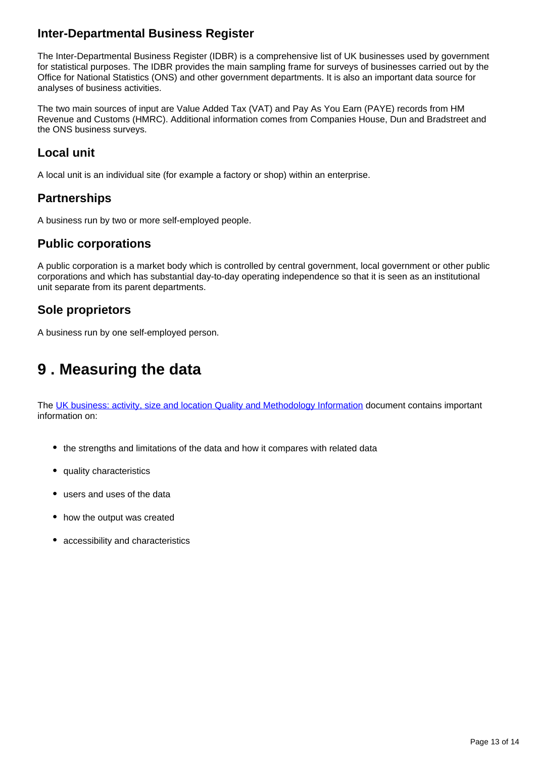### **Inter-Departmental Business Register**

The Inter-Departmental Business Register (IDBR) is a comprehensive list of UK businesses used by government for statistical purposes. The IDBR provides the main sampling frame for surveys of businesses carried out by the Office for National Statistics (ONS) and other government departments. It is also an important data source for analyses of business activities.

The two main sources of input are Value Added Tax (VAT) and Pay As You Earn (PAYE) records from HM Revenue and Customs (HMRC). Additional information comes from Companies House, Dun and Bradstreet and the ONS business surveys.

### **Local unit**

A local unit is an individual site (for example a factory or shop) within an enterprise.

### **Partnerships**

A business run by two or more self-employed people.

### **Public corporations**

A public corporation is a market body which is controlled by central government, local government or other public corporations and which has substantial day-to-day operating independence so that it is seen as an institutional unit separate from its parent departments.

### **Sole proprietors**

A business run by one self-employed person.

## <span id="page-12-0"></span>**9 . Measuring the data**

The [UK business: activity, size and location Quality and Methodology Information](http://www.ons.gov.uk/businessindustryandtrade/business/activitysizeandlocation/qmis/ukbusinessqmi) document contains important information on:

- the strengths and limitations of the data and how it compares with related data
- quality characteristics
- users and uses of the data
- how the output was created
- accessibility and characteristics